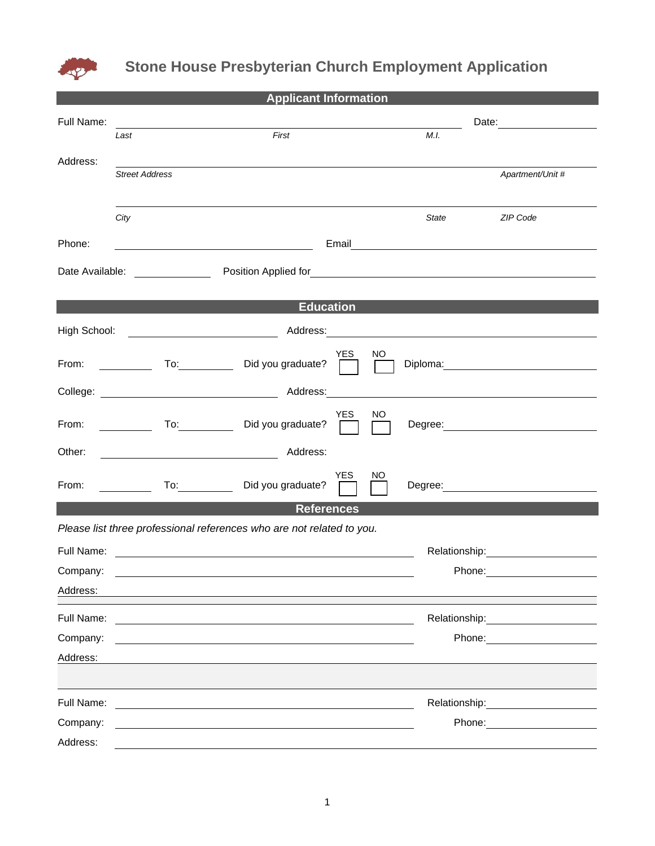

## **Stone House Presbyterian Church Employment Application**

| <b>Applicant Information</b> |                                                  |                                                                                                                       |            |                                                                                                                                                                                                                                |                                                                                                                                                                                                                                      |               |                                                                                                                                                                                                                                |  |  |  |
|------------------------------|--------------------------------------------------|-----------------------------------------------------------------------------------------------------------------------|------------|--------------------------------------------------------------------------------------------------------------------------------------------------------------------------------------------------------------------------------|--------------------------------------------------------------------------------------------------------------------------------------------------------------------------------------------------------------------------------------|---------------|--------------------------------------------------------------------------------------------------------------------------------------------------------------------------------------------------------------------------------|--|--|--|
| Full Name:                   |                                                  |                                                                                                                       |            | Date: the contract of the contract of the contract of the contract of the contract of the contract of the contract of the contract of the contract of the contract of the contract of the contract of the contract of the cont |                                                                                                                                                                                                                                      |               |                                                                                                                                                                                                                                |  |  |  |
|                              | Last                                             | First                                                                                                                 |            |                                                                                                                                                                                                                                | M.I.                                                                                                                                                                                                                                 |               |                                                                                                                                                                                                                                |  |  |  |
| Address:                     |                                                  |                                                                                                                       |            |                                                                                                                                                                                                                                |                                                                                                                                                                                                                                      |               |                                                                                                                                                                                                                                |  |  |  |
|                              | <b>Street Address</b>                            |                                                                                                                       |            |                                                                                                                                                                                                                                |                                                                                                                                                                                                                                      |               | Apartment/Unit #                                                                                                                                                                                                               |  |  |  |
|                              |                                                  |                                                                                                                       |            |                                                                                                                                                                                                                                |                                                                                                                                                                                                                                      |               |                                                                                                                                                                                                                                |  |  |  |
|                              | City                                             |                                                                                                                       |            |                                                                                                                                                                                                                                | State                                                                                                                                                                                                                                |               | ZIP Code                                                                                                                                                                                                                       |  |  |  |
| Phone:                       |                                                  | <u> 1989 - Johann Barn, mars eta bainar eta i</u>                                                                     |            |                                                                                                                                                                                                                                | Email <b>Exercise Contract Contract Contract Contract Contract Contract Contract Contract Contract Contract Contract Contract Contract Contract Contract Contract Contract Contract Contract Contract Contract Contract Contract</b> |               |                                                                                                                                                                                                                                |  |  |  |
|                              |                                                  |                                                                                                                       |            |                                                                                                                                                                                                                                |                                                                                                                                                                                                                                      |               |                                                                                                                                                                                                                                |  |  |  |
| <b>Education</b>             |                                                  |                                                                                                                       |            |                                                                                                                                                                                                                                |                                                                                                                                                                                                                                      |               |                                                                                                                                                                                                                                |  |  |  |
|                              | High School: <u>____________________________</u> |                                                                                                                       |            |                                                                                                                                                                                                                                |                                                                                                                                                                                                                                      |               | Address: <u>www.community.community.community.com</u>                                                                                                                                                                          |  |  |  |
| From:                        |                                                  | Did you graduate?                                                                                                     | YES.       | NO.                                                                                                                                                                                                                            |                                                                                                                                                                                                                                      |               | Diploma: the contract of the contract of the contract of the contract of the contract of the contract of the contract of the contract of the contract of the contract of the contract of the contract of the contract of the c |  |  |  |
|                              |                                                  |                                                                                                                       |            |                                                                                                                                                                                                                                |                                                                                                                                                                                                                                      |               |                                                                                                                                                                                                                                |  |  |  |
| From:                        | $\overline{\phantom{a}}$                         | To: Did you graduate?                                                                                                 | <b>YES</b> | NO                                                                                                                                                                                                                             |                                                                                                                                                                                                                                      |               | Degree: <u>2000 - 2000 - 2000 - 2000 - 2000 - 2000 - 2000 - 2000 - 2000 - 2000 - 2000 - 2000 - 2000 - 2000 - 2000 - 20</u>                                                                                                     |  |  |  |
| Other:                       |                                                  |                                                                                                                       |            |                                                                                                                                                                                                                                |                                                                                                                                                                                                                                      |               |                                                                                                                                                                                                                                |  |  |  |
| From:                        |                                                  | To: Did you graduate?                                                                                                 | YES.       | NO.                                                                                                                                                                                                                            |                                                                                                                                                                                                                                      |               |                                                                                                                                                                                                                                |  |  |  |
| <b>References</b>            |                                                  |                                                                                                                       |            |                                                                                                                                                                                                                                |                                                                                                                                                                                                                                      |               |                                                                                                                                                                                                                                |  |  |  |
|                              |                                                  | Please list three professional references who are not related to you.                                                 |            |                                                                                                                                                                                                                                |                                                                                                                                                                                                                                      |               |                                                                                                                                                                                                                                |  |  |  |
|                              |                                                  |                                                                                                                       |            |                                                                                                                                                                                                                                |                                                                                                                                                                                                                                      |               | Relationship:<br><u> </u>                                                                                                                                                                                                      |  |  |  |
| Company:                     |                                                  |                                                                                                                       |            |                                                                                                                                                                                                                                |                                                                                                                                                                                                                                      | Phone:        |                                                                                                                                                                                                                                |  |  |  |
| Address:                     |                                                  |                                                                                                                       |            |                                                                                                                                                                                                                                |                                                                                                                                                                                                                                      |               |                                                                                                                                                                                                                                |  |  |  |
| Full Name:                   |                                                  |                                                                                                                       |            |                                                                                                                                                                                                                                |                                                                                                                                                                                                                                      |               |                                                                                                                                                                                                                                |  |  |  |
| Company:                     |                                                  |                                                                                                                       |            |                                                                                                                                                                                                                                |                                                                                                                                                                                                                                      |               | Phone: <u>_______</u>                                                                                                                                                                                                          |  |  |  |
| Address:                     |                                                  |                                                                                                                       |            |                                                                                                                                                                                                                                |                                                                                                                                                                                                                                      |               |                                                                                                                                                                                                                                |  |  |  |
|                              |                                                  |                                                                                                                       |            |                                                                                                                                                                                                                                |                                                                                                                                                                                                                                      |               |                                                                                                                                                                                                                                |  |  |  |
| Full Name:                   |                                                  |                                                                                                                       |            |                                                                                                                                                                                                                                |                                                                                                                                                                                                                                      | Relationship: |                                                                                                                                                                                                                                |  |  |  |
| Company:                     |                                                  | <u> 1989 - Johann Stoff, deutscher Stoff, der Stoff, der Stoff, der Stoff, der Stoff, der Stoff, der Stoff, der S</u> |            |                                                                                                                                                                                                                                |                                                                                                                                                                                                                                      | Phone:        |                                                                                                                                                                                                                                |  |  |  |
| Address:                     |                                                  |                                                                                                                       |            |                                                                                                                                                                                                                                |                                                                                                                                                                                                                                      |               |                                                                                                                                                                                                                                |  |  |  |